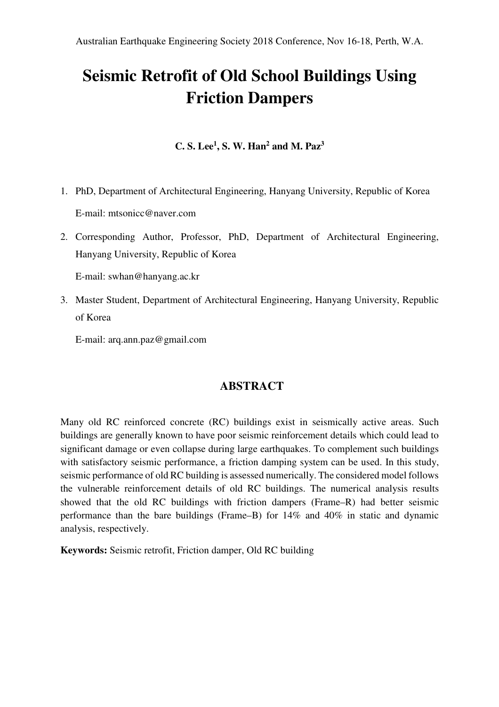# **Seismic Retrofit of Old School Buildings Using Friction Dampers**

**C. S. Lee<sup>1</sup> , S. W. Han<sup>2</sup> and M. Paz<sup>3</sup>**

- 1. PhD, Department of Architectural Engineering, Hanyang University, Republic of Korea E-mail: mtsonicc@naver.com
- 2. Corresponding Author, Professor, PhD, Department of Architectural Engineering, Hanyang University, Republic of Korea

E-mail: swhan@hanyang.ac.kr

3. Master Student, Department of Architectural Engineering, Hanyang University, Republic of Korea

E-mail: arq.ann.paz@gmail.com

#### **ABSTRACT**

Many old RC reinforced concrete (RC) buildings exist in seismically active areas. Such buildings are generally known to have poor seismic reinforcement details which could lead to significant damage or even collapse during large earthquakes. To complement such buildings with satisfactory seismic performance, a friction damping system can be used. In this study, seismic performance of old RC building is assessed numerically. The considered model follows the vulnerable reinforcement details of old RC buildings. The numerical analysis results showed that the old RC buildings with friction dampers (Frame–R) had better seismic performance than the bare buildings (Frame–B) for 14% and 40% in static and dynamic analysis, respectively.

**Keywords:** Seismic retrofit, Friction damper, Old RC building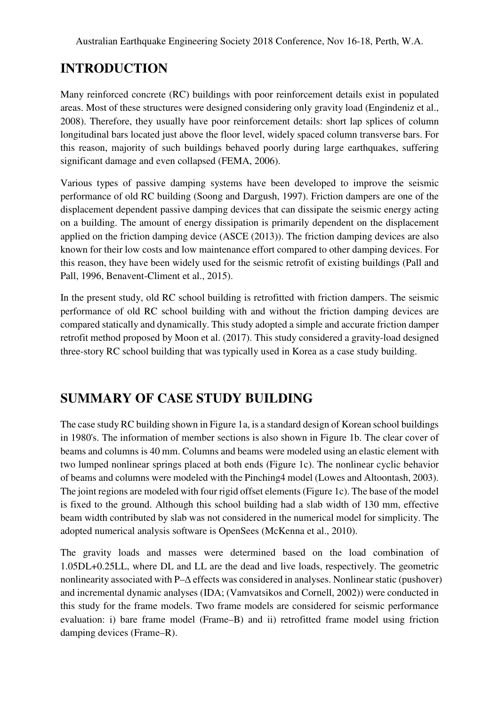## **INTRODUCTION**

Many reinforced concrete (RC) buildings with poor reinforcement details exist in populated areas. Most of these structures were designed considering only gravity load (Engindeniz et al., 2008). Therefore, they usually have poor reinforcement details: short lap splices of column longitudinal bars located just above the floor level, widely spaced column transverse bars. For this reason, majority of such buildings behaved poorly during large earthquakes, suffering significant damage and even collapsed (FEMA, 2006).

Various types of passive damping systems have been developed to improve the seismic performance of old RC building (Soong and Dargush, 1997). Friction dampers are one of the displacement dependent passive damping devices that can dissipate the seismic energy acting on a building. The amount of energy dissipation is primarily dependent on the displacement applied on the friction damping device (ASCE (2013)). The friction damping devices are also known for their low costs and low maintenance effort compared to other damping devices. For this reason, they have been widely used for the seismic retrofit of existing buildings (Pall and Pall, 1996, Benavent-Climent et al., 2015).

In the present study, old RC school building is retrofitted with friction dampers. The seismic performance of old RC school building with and without the friction damping devices are compared statically and dynamically. This study adopted a simple and accurate friction damper retrofit method proposed by Moon et al. (2017). This study considered a gravity-load designed three-story RC school building that was typically used in Korea as a case study building.

## **SUMMARY OF CASE STUDY BUILDING**

The case study RC building shown in Figure 1a, is a standard design of Korean school buildings in 1980's. The information of member sections is also shown in Figure 1b. The clear cover of beams and columns is 40 mm. Columns and beams were modeled using an elastic element with two lumped nonlinear springs placed at both ends (Figure 1c). The nonlinear cyclic behavior of beams and columns were modeled with the Pinching4 model (Lowes and Altoontash, 2003). The joint regions are modeled with four rigid offset elements (Figure 1c). The base of the model is fixed to the ground. Although this school building had a slab width of 130 mm, effective beam width contributed by slab was not considered in the numerical model for simplicity. The adopted numerical analysis software is OpenSees (McKenna et al., 2010).

The gravity loads and masses were determined based on the load combination of 1.05DL+0.25LL, where DL and LL are the dead and live loads, respectively. The geometric nonlinearity associated with P–∆ effects was considered in analyses. Nonlinear static (pushover) and incremental dynamic analyses (IDA; (Vamvatsikos and Cornell, 2002)) were conducted in this study for the frame models. Two frame models are considered for seismic performance evaluation: i) bare frame model (Frame–B) and ii) retrofitted frame model using friction damping devices (Frame–R).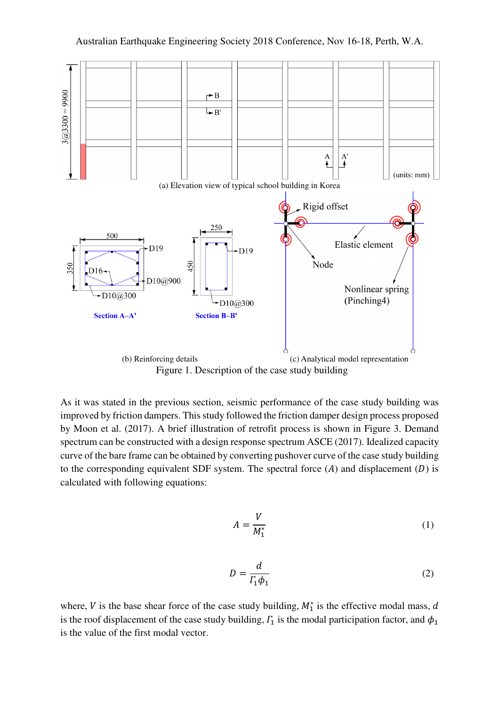

As it was stated in the previous section, seismic performance of the case study building was improved by friction dampers. This study followed the friction damper design process proposed by Moon et al. (2017). A brief illustration of retrofit process is shown in Figure 3. Demand spectrum can be constructed with a design response spectrum ASCE (2017). Idealized capacity curve of the bare frame can be obtained by converting pushover curve of the case study building to the corresponding equivalent SDF system. The spectral force  $(A)$  and displacement  $(D)$  is calculated with following equations:

$$
A = \frac{V}{M_1^*} \tag{1}
$$

$$
D = \frac{d}{\Gamma_1 \phi_1} \tag{2}
$$

where, V is the base shear force of the case study building,  $M_1^*$  is the effective modal mass, d is the roof displacement of the case study building,  $\mathit{\Gamma}_1$  is the modal participation factor, and  $\phi_1$ is the value of the first modal vector.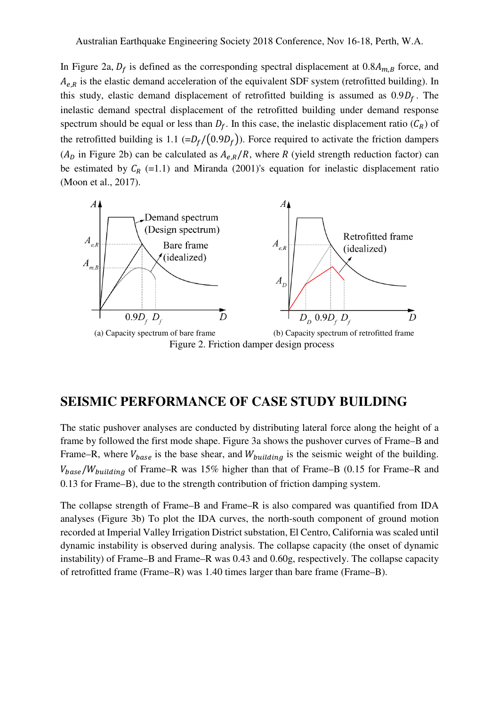In Figure 2a,  $D_f$  is defined as the corresponding spectral displacement at  $0.8A_{m,B}$  force, and  $A_{e,R}$  is the elastic demand acceleration of the equivalent SDF system (retrofitted building). In this study, elastic demand displacement of retrofitted building is assumed as  $0.9D_f$ . The inelastic demand spectral displacement of the retrofitted building under demand response spectrum should be equal or less than  $D_f$ . In this case, the inelastic displacement ratio  $(C_R)$  of the retrofitted building is 1.1 ( $=D_f/(0.9D_f)$ ). Force required to activate the friction dampers  $(A<sub>D</sub>$  in Figure 2b) can be calculated as  $A<sub>e,R</sub>/R$ , where R (yield strength reduction factor) can be estimated by  $C_R$  (=1.1) and Miranda (2001)'s equation for inelastic displacement ratio (Moon et al., 2017).



#### **SEISMIC PERFORMANCE OF CASE STUDY BUILDING**

The static pushover analyses are conducted by distributing lateral force along the height of a frame by followed the first mode shape. Figure 3a shows the pushover curves of Frame–B and Frame–R, where  $V_{base}$  is the base shear, and  $W_{building}$  is the seismic weight of the building.  $V_{base}/W_{building}$  of Frame–R was 15% higher than that of Frame–B (0.15 for Frame–R and 0.13 for Frame–B), due to the strength contribution of friction damping system.

The collapse strength of Frame–B and Frame–R is also compared was quantified from IDA analyses (Figure 3b) To plot the IDA curves, the north-south component of ground motion recorded at Imperial Valley Irrigation District substation, El Centro, California was scaled until dynamic instability is observed during analysis. The collapse capacity (the onset of dynamic instability) of Frame–B and Frame–R was 0.43 and 0.60g, respectively. The collapse capacity of retrofitted frame (Frame–R) was 1.40 times larger than bare frame (Frame–B).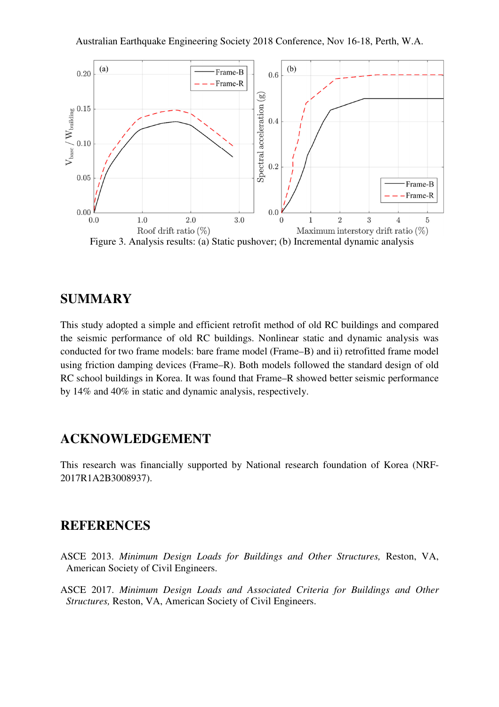

Figure 3. Analysis results: (a) Static pushover; (b) Incremental dynamic analysis

#### **SUMMARY**

This study adopted a simple and efficient retrofit method of old RC buildings and compared the seismic performance of old RC buildings. Nonlinear static and dynamic analysis was conducted for two frame models: bare frame model (Frame–B) and ii) retrofitted frame model using friction damping devices (Frame–R). Both models followed the standard design of old RC school buildings in Korea. It was found that Frame–R showed better seismic performance by 14% and 40% in static and dynamic analysis, respectively.

### **ACKNOWLEDGEMENT**

This research was financially supported by National research foundation of Korea (NRF-2017R1A2B3008937).

#### **REFERENCES**

- ASCE 2013. *Minimum Design Loads for Buildings and Other Structures,* Reston, VA, American Society of Civil Engineers.
- ASCE 2017. *Minimum Design Loads and Associated Criteria for Buildings and Other Structures,* Reston, VA, American Society of Civil Engineers.